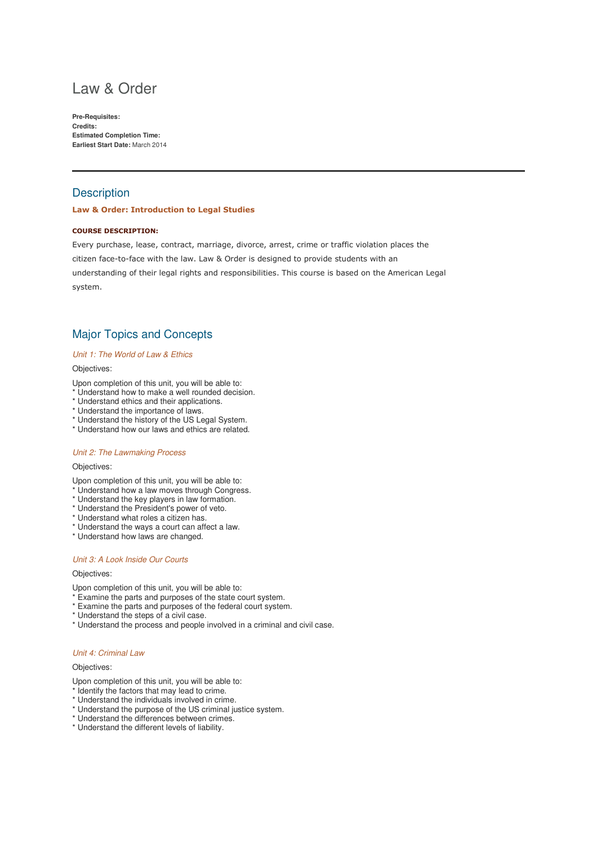# Law & Order

**Pre-Requisites: Credits: Estimated Completion Time: Earliest Start Date:** March 2014

# **Description**

## Law & Order: Introduction to Legal Studies

## COURSE DESCRIPTION:

Every purchase, lease, contract, marriage, divorce, arrest, crime or traffic violation places the citizen face-to-face with the law. Law & Order is designed to provide students with an understanding of their legal rights and responsibilities. This course is based on the American Legal system.

# Major Topics and Concepts

#### Unit 1: The World of Law & Ethics

#### Objectives:

- Upon completion of this unit, you will be able to:
- \* Understand how to make a well rounded decision.
- \* Understand ethics and their applications.
- \* Understand the importance of laws.
- \* Understand the history of the US Legal System.
- \* Understand how our laws and ethics are related.

#### Unit 2: The Lawmaking Process

# Objectives:

Upon completion of this unit, you will be able to:

- \* Understand how a law moves through Congress.
- \* Understand the key players in law formation.
- \* Understand the President's power of veto.
- \* Understand what roles a citizen has.
- \* Understand the ways a court can affect a law.
- \* Understand how laws are changed.

#### Unit 3: A Look Inside Our Courts

#### Objectives:

Upon completion of this unit, you will be able to:

- \* Examine the parts and purposes of the state court system.
- \* Examine the parts and purposes of the federal court system.
- \* Understand the steps of a civil case.
- \* Understand the process and people involved in a criminal and civil case.

#### Unit 4: Criminal Law

#### Objectives:

- Upon completion of this unit, you will be able to:
- \* Identify the factors that may lead to crime.
- \* Understand the individuals involved in crime.
- \* Understand the purpose of the US criminal justice system.
- \* Understand the differences between crimes.
- \* Understand the different levels of liability.